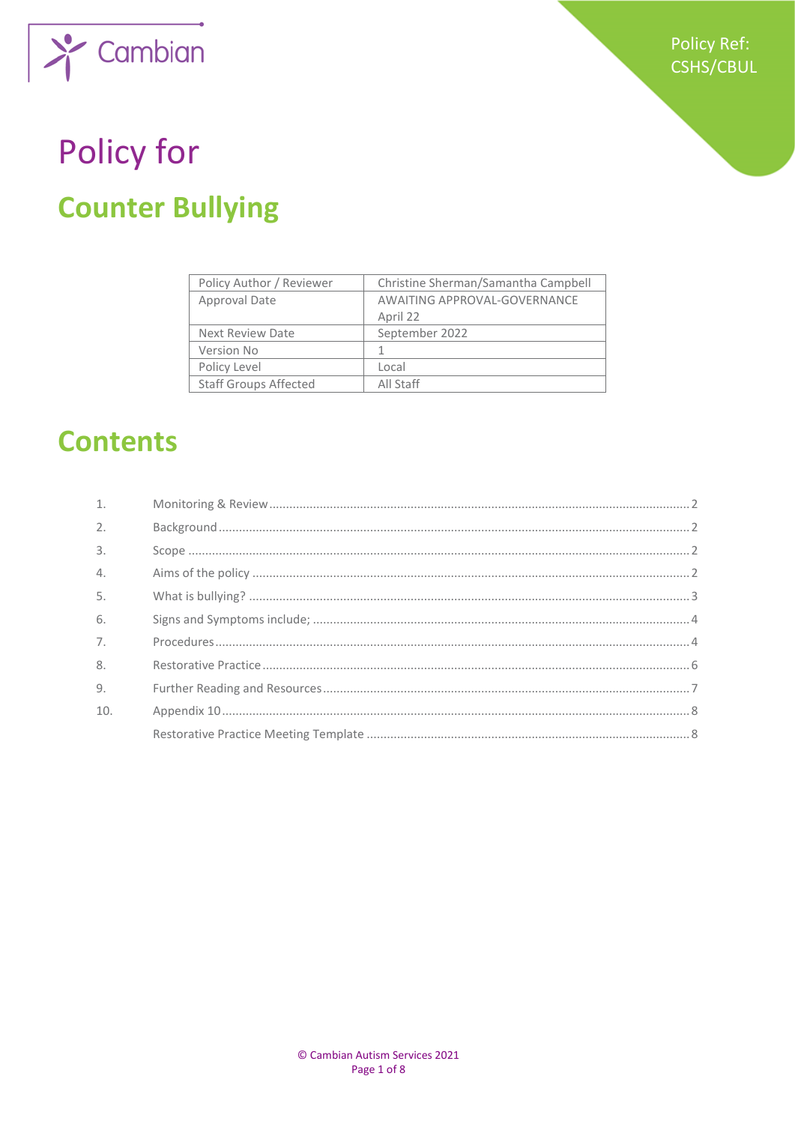

# Policy for **Counter Bullying**

| Policy Author / Reviewer     | Christine Sherman/Samantha Campbell |  |
|------------------------------|-------------------------------------|--|
| Approval Date                | AWAITING APPROVAL-GOVERNANCE        |  |
|                              | April 22                            |  |
| <b>Next Review Date</b>      | September 2022                      |  |
| Version No                   |                                     |  |
| Policy Level                 | Local                               |  |
| <b>Staff Groups Affected</b> | All Staff                           |  |

# **Contents**

| $\mathbf{1}$ .   |  |
|------------------|--|
| 2.               |  |
| $\overline{3}$ . |  |
| $\mathcal{A}$ .  |  |
| 5.               |  |
| 6.               |  |
| 7 <sub>1</sub>   |  |
| 8.               |  |
| 9 <sub>1</sub>   |  |
| 10.              |  |
|                  |  |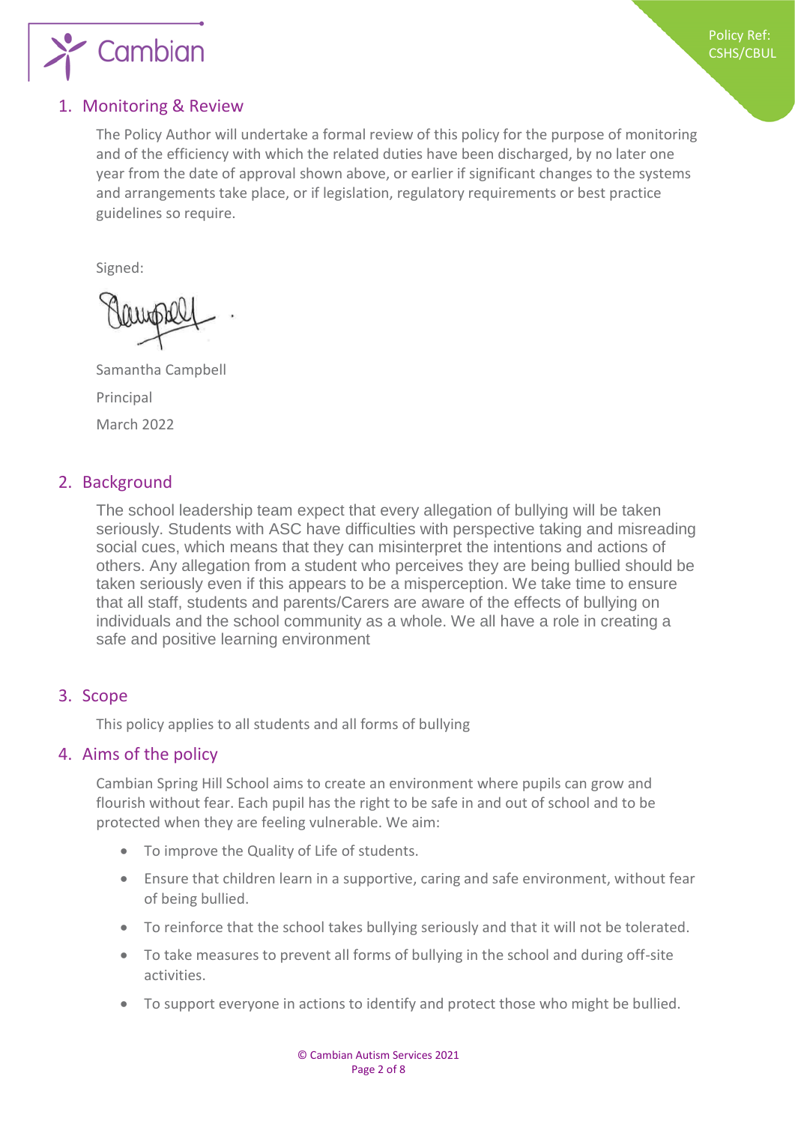

#### <span id="page-1-0"></span>1. Monitoring & Review

The Policy Author will undertake a formal review of this policy for the purpose of monitoring and of the efficiency with which the related duties have been discharged, by no later one year from the date of approval shown above, or earlier if significant changes to the systems and arrangements take place, or if legislation, regulatory requirements or best practice guidelines so require.

Signed:

Samantha Campbell Principal March 2022

#### <span id="page-1-1"></span>2. Background

The school leadership team expect that every allegation of bullying will be taken seriously. Students with ASC have difficulties with perspective taking and misreading social cues, which means that they can misinterpret the intentions and actions of others. Any allegation from a student who perceives they are being bullied should be taken seriously even if this appears to be a misperception. We take time to ensure that all staff, students and parents/Carers are aware of the effects of bullying on individuals and the school community as a whole. We all have a role in creating a safe and positive learning environment

#### <span id="page-1-2"></span>3. Scope

This policy applies to all students and all forms of bullying

#### <span id="page-1-3"></span>4. Aims of the policy

Cambian Spring Hill School aims to create an environment where pupils can grow and flourish without fear. Each pupil has the right to be safe in and out of school and to be protected when they are feeling vulnerable. We aim:

- To improve the Quality of Life of students.
- Ensure that children learn in a supportive, caring and safe environment, without fear of being bullied.
- To reinforce that the school takes bullying seriously and that it will not be tolerated.
- To take measures to prevent all forms of bullying in the school and during off-site activities.
- To support everyone in actions to identify and protect those who might be bullied.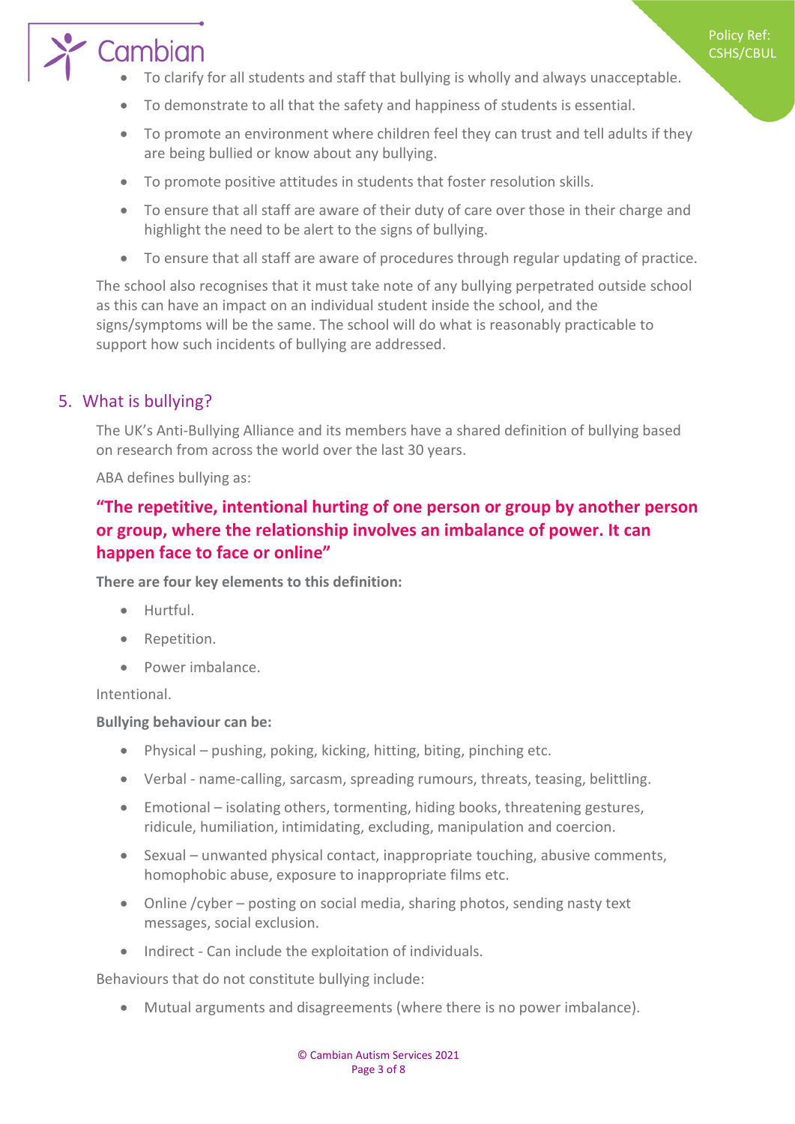Policy Ref: CSHS/CBUL

# Cambian

- To clarify for all students and staff that bullying is wholly and always unacceptable.
- To demonstrate to all that the safety and happiness of students is essential.
- To promote an environment where children feel they can trust and tell adults if they are being bullied or know about any bullying.
- To promote positive attitudes in students that foster resolution skills.
- To ensure that all staff are aware of their duty of care over those in their charge and highlight the need to be alert to the signs of bullying.
- To ensure that all staff are aware of procedures through regular updating of practice.

The school also recognises that it must take note of any bullying perpetrated outside school as this can have an impact on an individual student inside the school, and the signs/symptoms will be the same. The school will do what is reasonably practicable to support how such incidents of bullying are addressed.

#### <span id="page-2-0"></span>5. What is bullying?

The UK's Anti-Bullying Alliance and its members have a shared definition of bullying based on research from across the world over the last 30 years.

ABA defines bullying as:

## **"The repetitive, intentional hurting of one person or group by another person or group, where the relationship involves an imbalance of power. It can happen face to face or online"**

**There are four key elements to this definition:**

- Hurtful.
- Repetition.
- Power imbalance.

Intentional.

#### **Bullying behaviour can be:**

- Physical pushing, poking, kicking, hitting, biting, pinching etc.
- Verbal name-calling, sarcasm, spreading rumours, threats, teasing, belittling.
- Emotional isolating others, tormenting, hiding books, threatening gestures, ridicule, humiliation, intimidating, excluding, manipulation and coercion.
- Sexual unwanted physical contact, inappropriate touching, abusive comments, homophobic abuse, exposure to inappropriate films etc.
- Online / cyber posting on social media, sharing photos, sending nasty text messages, social exclusion.
- Indirect Can include the exploitation of individuals.

Behaviours that do not constitute bullying include:

• Mutual arguments and disagreements (where there is no power imbalance).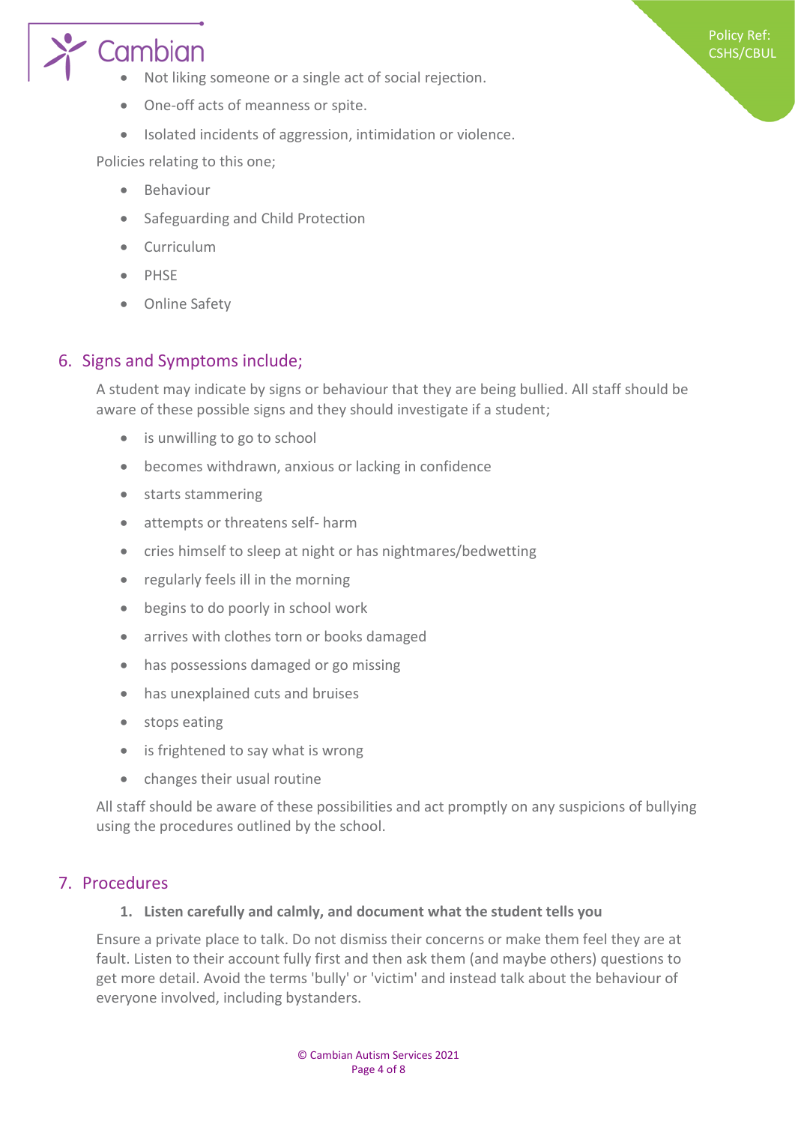# Cambian

- Not liking someone or a single act of social rejection.
- One-off acts of meanness or spite.
- Isolated incidents of aggression, intimidation or violence.

Policies relating to this one;

- Behaviour
- Safeguarding and Child Protection
- Curriculum
- PHSE
- Online Safety

#### <span id="page-3-0"></span>6. Signs and Symptoms include;

A student may indicate by signs or behaviour that they are being bullied. All staff should be aware of these possible signs and they should investigate if a student;

Policy Ref: CSHS/CBUL

- is unwilling to go to school
- becomes withdrawn, anxious or lacking in confidence
- starts stammering
- attempts or threatens self- harm
- cries himself to sleep at night or has nightmares/bedwetting
- regularly feels ill in the morning
- begins to do poorly in school work
- arrives with clothes torn or books damaged
- has possessions damaged or go missing
- has unexplained cuts and bruises
- stops eating
- is frightened to say what is wrong
- changes their usual routine

All staff should be aware of these possibilities and act promptly on any suspicions of bullying using the procedures outlined by the school.

#### <span id="page-3-1"></span>7. Procedures

#### **1. Listen carefully and calmly, and document what the student tells you**

Ensure a private place to talk. Do not dismiss their concerns or make them feel they are at fault. Listen to their account fully first and then ask them (and maybe others) questions to get more detail. Avoid the terms 'bully' or 'victim' and instead talk about the behaviour of everyone involved, including bystanders.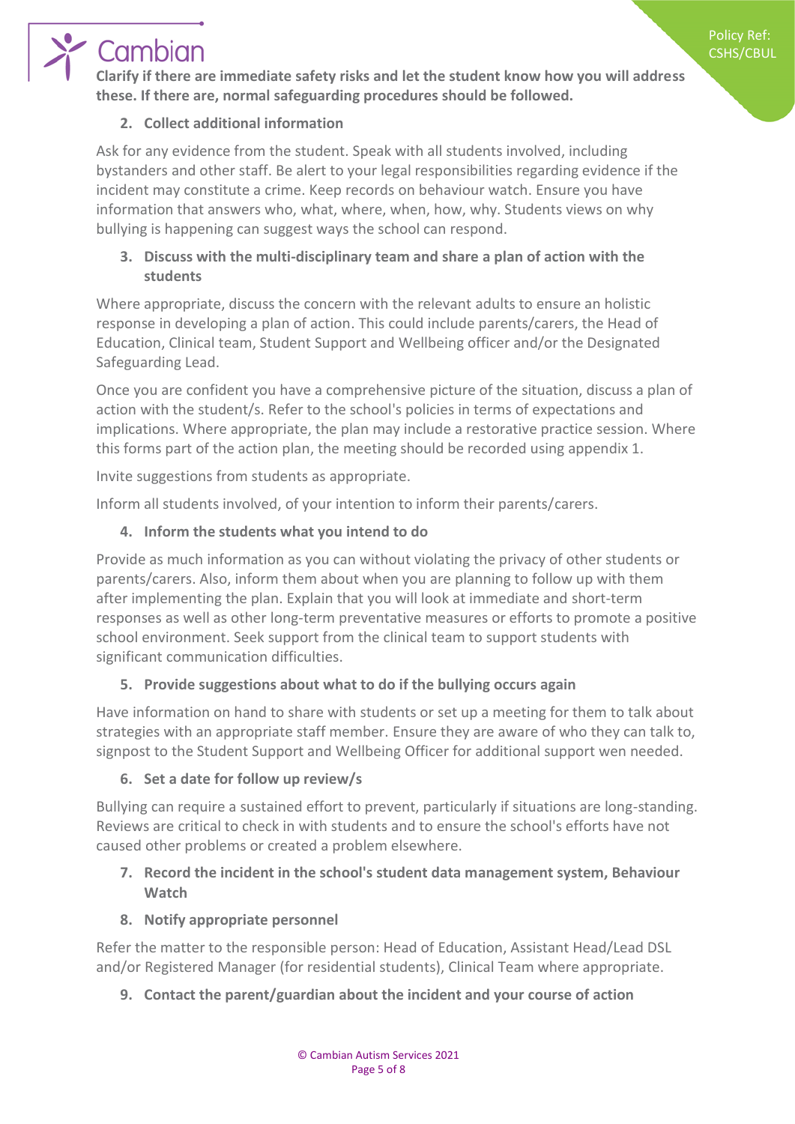Policy Ref: CSHS/CBUL

# Cambian

**Clarify if there are immediate safety risks and let the student know how you will address these. If there are, normal safeguarding procedures should be followed.** 

## **2. Collect additional information**

Ask for any evidence from the student. Speak with all students involved, including bystanders and other staff. Be alert to your legal responsibilities regarding evidence if the incident may constitute a crime. Keep records on behaviour watch. Ensure you have information that answers who, what, where, when, how, why. Students views on why bullying is happening can suggest ways the school can respond.

#### **3. Discuss with the multi-disciplinary team and share a plan of action with the students**

Where appropriate, discuss the concern with the relevant adults to ensure an holistic response in developing a plan of action. This could include parents/carers, the Head of Education, Clinical team, Student Support and Wellbeing officer and/or the Designated Safeguarding Lead.

Once you are confident you have a comprehensive picture of the situation, discuss a plan of action with the student/s. Refer to the school's policies in terms of expectations and implications. Where appropriate, the plan may include a restorative practice session. Where this forms part of the action plan, the meeting should be recorded using appendix 1.

Invite suggestions from students as appropriate.

Inform all students involved, of your intention to inform their parents/carers.

#### **4. Inform the students what you intend to do**

Provide as much information as you can without violating the privacy of other students or parents/carers. Also, inform them about when you are planning to follow up with them after implementing the plan. Explain that you will look at immediate and short-term responses as well as other long-term preventative measures or efforts to promote a positive school environment. Seek support from the clinical team to support students with significant communication difficulties.

## **5. Provide suggestions about what to do if the bullying occurs again**

Have information on hand to share with students or set up a meeting for them to talk about strategies with an appropriate staff member. Ensure they are aware of who they can talk to, signpost to the Student Support and Wellbeing Officer for additional support wen needed.

#### **6. Set a date for follow up review/s**

Bullying can require a sustained effort to prevent, particularly if situations are long-standing. Reviews are critical to check in with students and to ensure the school's efforts have not caused other problems or created a problem elsewhere.

#### **7. Record the incident in the school's student data management system, Behaviour Watch**

#### **8. Notify appropriate personnel**

Refer the matter to the responsible person: Head of Education, Assistant Head/Lead DSL and/or Registered Manager (for residential students), Clinical Team where appropriate.

#### **9. Contact the parent/guardian about the incident and your course of action**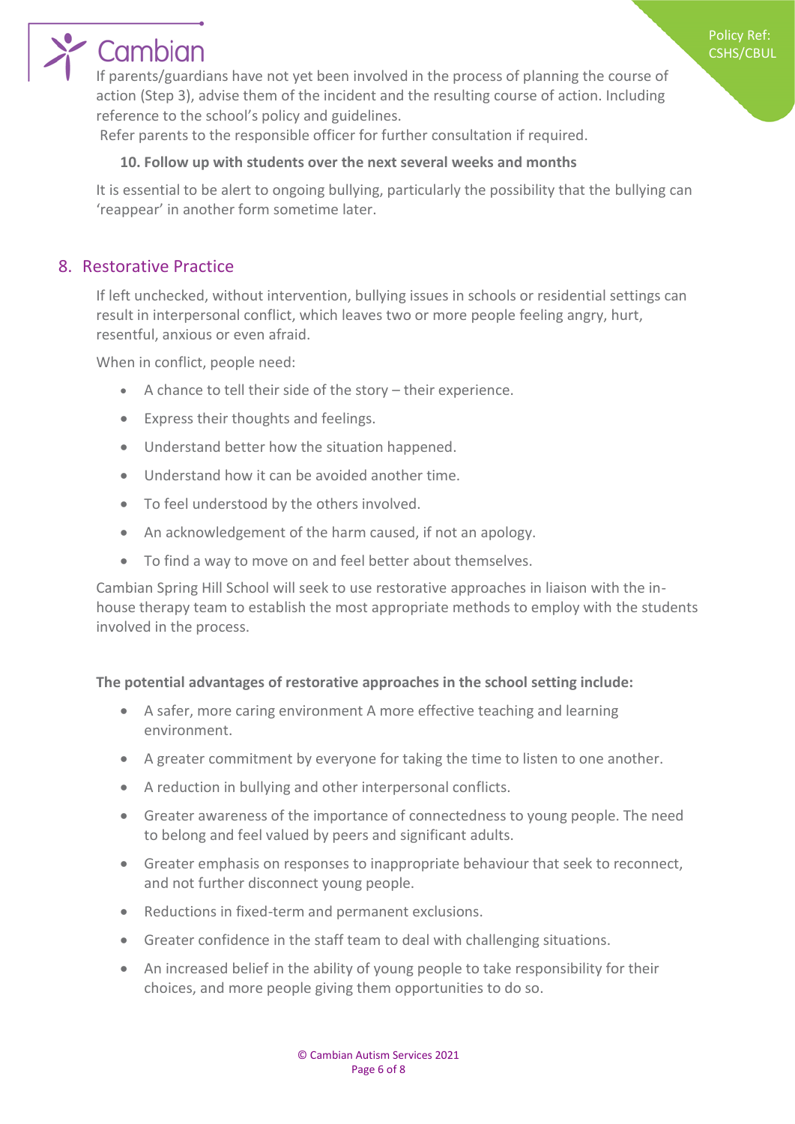# Cambian

If parents/guardians have not yet been involved in the process of planning the course of action (Step 3), advise them of the incident and the resulting course of action. Including reference to the school's policy and guidelines.

Refer parents to the responsible officer for further consultation if required.

#### **10. Follow up with students over the next several weeks and months**

It is essential to be alert to ongoing bullying, particularly the possibility that the bullying can 'reappear' in another form sometime later.

## <span id="page-5-0"></span>8. Restorative Practice

If left unchecked, without intervention, bullying issues in schools or residential settings can result in interpersonal conflict, which leaves two or more people feeling angry, hurt, resentful, anxious or even afraid.

When in conflict, people need:

- A chance to tell their side of the story their experience.
- Express their thoughts and feelings.
- Understand better how the situation happened.
- Understand how it can be avoided another time.
- To feel understood by the others involved.
- An acknowledgement of the harm caused, if not an apology.
- To find a way to move on and feel better about themselves.

Cambian Spring Hill School will seek to use restorative approaches in liaison with the inhouse therapy team to establish the most appropriate methods to employ with the students involved in the process.

#### **The potential advantages of restorative approaches in the school setting include:**

- A safer, more caring environment A more effective teaching and learning environment.
- A greater commitment by everyone for taking the time to listen to one another.
- A reduction in bullying and other interpersonal conflicts.
- Greater awareness of the importance of connectedness to young people. The need to belong and feel valued by peers and significant adults.
- Greater emphasis on responses to inappropriate behaviour that seek to reconnect, and not further disconnect young people.
- Reductions in fixed-term and permanent exclusions.
- Greater confidence in the staff team to deal with challenging situations.
- An increased belief in the ability of young people to take responsibility for their choices, and more people giving them opportunities to do so.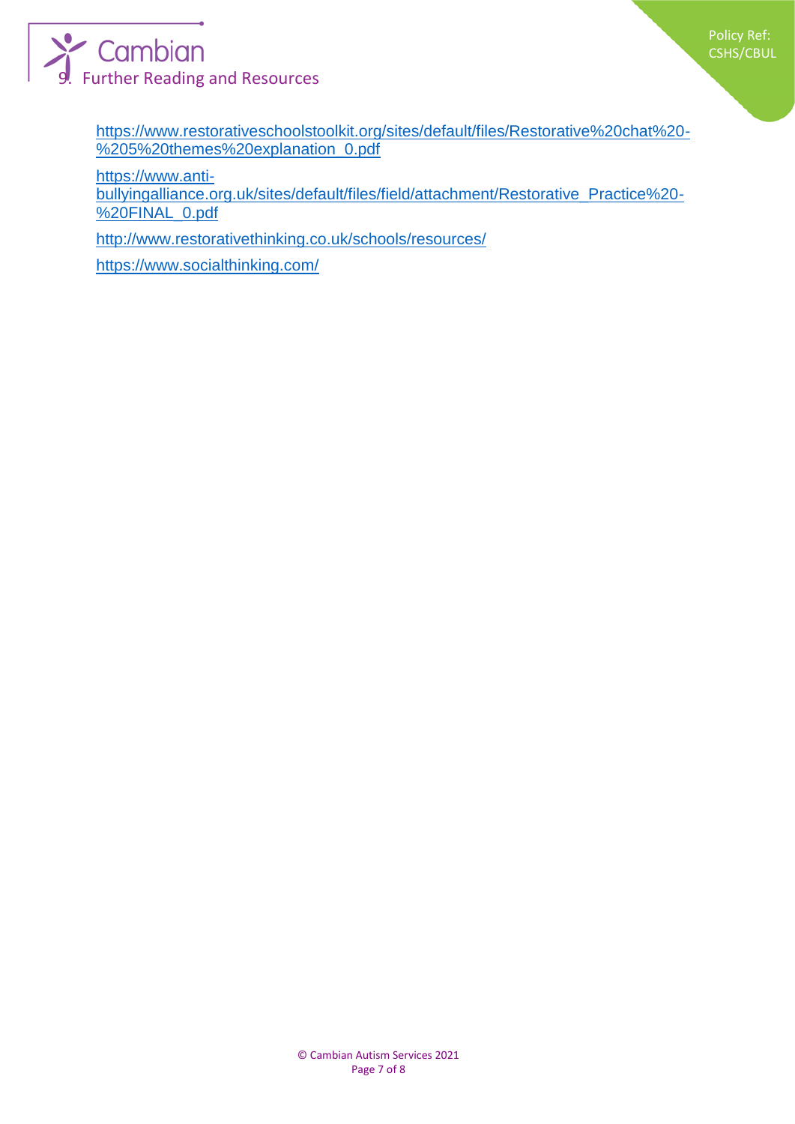

<span id="page-6-0"></span>[https://www.restorativeschoolstoolkit.org/sites/default/files/Restorative%20chat%20-](https://www.restorativeschoolstoolkit.org/sites/default/files/Restorative%20chat%20-%205%20themes%20explanation_0.pdf) [%205%20themes%20explanation\\_0.pdf](https://www.restorativeschoolstoolkit.org/sites/default/files/Restorative%20chat%20-%205%20themes%20explanation_0.pdf)

[https://www.anti-](https://www.anti-bullyingalliance.org.uk/sites/default/files/field/attachment/Restorative_Practice%20-%20FINAL_0.pdf)

[bullyingalliance.org.uk/sites/default/files/field/attachment/Restorative\\_Practice%20-](https://www.anti-bullyingalliance.org.uk/sites/default/files/field/attachment/Restorative_Practice%20-%20FINAL_0.pdf) [%20FINAL\\_0.pdf](https://www.anti-bullyingalliance.org.uk/sites/default/files/field/attachment/Restorative_Practice%20-%20FINAL_0.pdf)

<http://www.restorativethinking.co.uk/schools/resources/>

<https://www.socialthinking.com/>